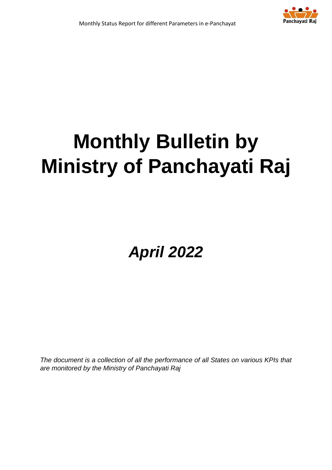

# **Monthly Bulletin by Ministry of Panchayati Raj**

*April 2022*

*The document is a collection of all the performance of all States on various KPIs that are monitored by the Ministry of Panchayati Raj*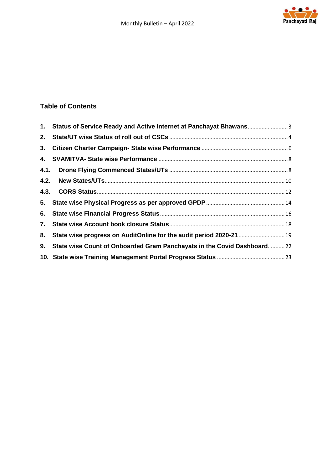

### **Table of Contents**

|    | 1. Status of Service Ready and Active Internet at Panchayat Bhawans3   |  |
|----|------------------------------------------------------------------------|--|
| 2. |                                                                        |  |
|    |                                                                        |  |
|    |                                                                        |  |
|    |                                                                        |  |
|    |                                                                        |  |
|    |                                                                        |  |
|    |                                                                        |  |
|    |                                                                        |  |
|    |                                                                        |  |
| 8. | State wise progress on AuditOnline for the audit period 2020-21  19    |  |
| 9. | State wise Count of Onboarded Gram Panchayats in the Covid Dashboard22 |  |
|    |                                                                        |  |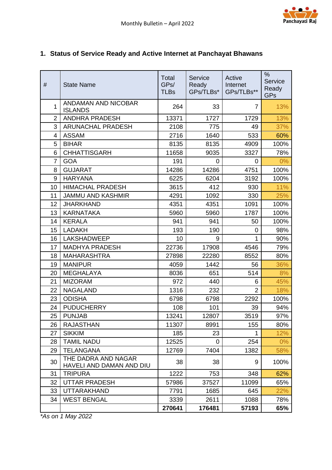# <span id="page-2-0"></span>**1. Status of Service Ready and Active Internet at Panchayat Bhawans**

| #              | <b>State Name</b>                               | Total<br>GPs/<br><b>TLBs</b> | Service<br>Ready<br>GPs/TLBs* | Active<br>Internet<br>GPs/TLBs** | $\%$<br>Service<br>Ready<br><b>GPs</b> |
|----------------|-------------------------------------------------|------------------------------|-------------------------------|----------------------------------|----------------------------------------|
| 1              | <b>ANDAMAN AND NICOBAR</b><br><b>ISLANDS</b>    | 264                          | 33                            | $\overline{7}$                   | 13%                                    |
| $\overline{2}$ | <b>ANDHRA PRADESH</b>                           | 13371                        | 1727                          | 1729                             | 13%                                    |
| 3              | <b>ARUNACHAL PRADESH</b>                        | 2108                         | 775                           | 49                               | 37%                                    |
| 4              | <b>ASSAM</b>                                    | 2716                         | 1640                          | 533                              | 60%                                    |
| 5              | <b>BIHAR</b>                                    | 8135                         | 8135                          | 4909                             | 100%                                   |
| 6              | <b>CHHATTISGARH</b>                             | 11658                        | 9035                          | 3327                             | 78%                                    |
| $\overline{7}$ | <b>GOA</b>                                      | 191                          | $\Omega$                      | 0                                | 0%                                     |
| 8              | <b>GUJARAT</b>                                  | 14286                        | 14286                         | 4751                             | 100%                                   |
| 9              | <b>HARYANA</b>                                  | 6225                         | 6204                          | 3192                             | 100%                                   |
| 10             | <b>HIMACHAL PRADESH</b>                         | 3615                         | 412                           | 930                              | 11%                                    |
| 11             | <b>JAMMU AND KASHMIR</b>                        | 4291                         | 1092                          | 330                              | 25%                                    |
| 12             | <b>JHARKHAND</b>                                | 4351                         | 4351                          | 1091                             | 100%                                   |
| 13             | <b>KARNATAKA</b>                                | 5960                         | 5960                          | 1787                             | 100%                                   |
| 14             | <b>KERALA</b>                                   | 941                          | 941                           | 50                               | 100%                                   |
| 15             | <b>LADAKH</b>                                   | 193                          | 190                           | 0                                | 98%                                    |
| 16             | <b>LAKSHADWEEP</b>                              | 10                           | 9                             | 1                                | 90%                                    |
| 17             | <b>MADHYA PRADESH</b>                           | 22736                        | 17908                         | 4546                             | 79%                                    |
| 18             | <b>MAHARASHTRA</b>                              | 27898                        | 22280                         | 8552                             | 80%                                    |
| 19             | <b>MANIPUR</b>                                  | 4059                         | 1442                          | 56                               | 36%                                    |
| 20             | <b>MEGHALAYA</b>                                | 8036                         | 651                           | 514                              | 8%                                     |
| 21             | <b>MIZORAM</b>                                  | 972                          | 440                           | 6                                | 45%                                    |
| 22             | <b>NAGALAND</b>                                 | 1316                         | 232                           | $\overline{2}$                   | 18%                                    |
| 23             | <b>ODISHA</b>                                   | 6798                         | 6798                          | 2292                             | 100%                                   |
| 24             | <b>PUDUCHERRY</b>                               | 108                          | 101                           | 39                               | 94%                                    |
| 25             | <b>PUNJAB</b>                                   | 13241                        | 12807                         | 3519                             | 97%                                    |
| 26             | <b>RAJASTHAN</b>                                | 11307                        | 8991                          | 155                              | 80%                                    |
| 27             | <b>SIKKIM</b>                                   | 185                          | 23                            | $\mathbf{1}$                     | 12%                                    |
| 28             | <b>TAMIL NADU</b>                               | 12525                        | 0                             | 254                              | $0\%$                                  |
| 29             | <b>TELANGANA</b>                                | 12769                        | 7404                          | 1382                             | 58%                                    |
| 30             | THE DADRA AND NAGAR<br>HAVELI AND DAMAN AND DIU | 38                           | 38                            | 9                                | 100%                                   |
| 31             | <b>TRIPURA</b>                                  | 1222                         | 753                           | 348                              | 62%                                    |
| 32             | <b>UTTAR PRADESH</b>                            | 57986                        | 37527                         | 11099                            | 65%                                    |
| 33             | <b>UTTARAKHAND</b>                              | 7791                         | 1685                          | 645                              | 22%                                    |
| 34             | <b>WEST BENGAL</b>                              | 3339                         | 2611                          | 1088                             | 78%                                    |
|                |                                                 | 270641                       | 176481                        | 57193                            | 65%                                    |

*\*As on 1 May 2022*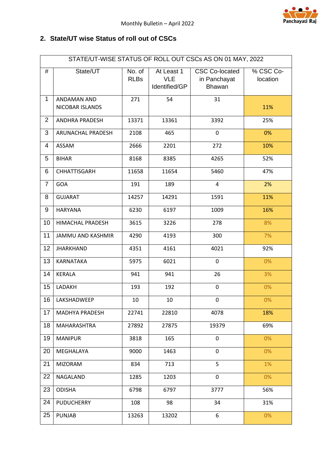

#### <span id="page-3-0"></span>**2. State/UT wise Status of roll out of CSCs**

|                | STATE/UT-WISE STATUS OF ROLL OUT CSCs AS ON 01 MAY, 2022 |                       |                                           |                                                 |                       |  |  |  |  |
|----------------|----------------------------------------------------------|-----------------------|-------------------------------------------|-------------------------------------------------|-----------------------|--|--|--|--|
| #              | State/UT                                                 | No. of<br><b>RLBs</b> | At Least 1<br><b>VLE</b><br>Identified/GP | <b>CSC Co-located</b><br>in Panchayat<br>Bhawan | % CSC Co-<br>location |  |  |  |  |
| $\mathbf{1}$   | ANDAMAN AND<br>NICOBAR ISLANDS                           | 271                   | 54                                        | 31                                              | 11%                   |  |  |  |  |
| $\overline{2}$ | <b>ANDHRA PRADESH</b>                                    | 13371                 | 13361                                     | 3392                                            | 25%                   |  |  |  |  |
| 3              | ARUNACHAL PRADESH                                        | 2108                  | 465                                       | $\mathbf 0$                                     | 0%                    |  |  |  |  |
| 4              | ASSAM                                                    | 2666                  | 2201                                      | 272                                             | 10%                   |  |  |  |  |
| 5              | <b>BIHAR</b>                                             | 8168                  | 8385                                      | 4265                                            | 52%                   |  |  |  |  |
| 6              | CHHATTISGARH                                             | 11658                 | 11654                                     | 5460                                            | 47%                   |  |  |  |  |
| $\overline{7}$ | GOA                                                      | 191                   | 189                                       | 4                                               | 2%                    |  |  |  |  |
| 8              | <b>GUJARAT</b>                                           | 14257                 | 14291                                     | 1591                                            | 11%                   |  |  |  |  |
| 9              | <b>HARYANA</b>                                           | 6230                  | 6197                                      | 1009                                            | 16%                   |  |  |  |  |
| 10             | HIMACHAL PRADESH                                         | 3615                  | 3226                                      | 278                                             | 8%                    |  |  |  |  |
| 11             | <b>JAMMU AND KASHMIR</b>                                 | 4290                  | 4193                                      | 300                                             | 7%                    |  |  |  |  |
| 12             | <b>JHARKHAND</b>                                         | 4351                  | 4161                                      | 4021                                            | 92%                   |  |  |  |  |
| 13             | KARNATAKA                                                | 5975                  | 6021                                      | $\mathbf 0$                                     | 0%                    |  |  |  |  |
| 14             | <b>KERALA</b>                                            | 941                   | 941                                       | 26                                              | 3%                    |  |  |  |  |
| 15             | LADAKH                                                   | 193                   | 192                                       | $\pmb{0}$                                       | 0%                    |  |  |  |  |
| 16             | LAKSHADWEEP                                              | 10                    | 10                                        | $\pmb{0}$                                       | 0%                    |  |  |  |  |
| 17             | <b>MADHYA PRADESH</b>                                    | 22741                 | 22810                                     | 4078                                            | 18%                   |  |  |  |  |
| 18             | MAHARASHTRA                                              | 27892                 | 27875                                     | 19379                                           | 69%                   |  |  |  |  |
| 19             | <b>MANIPUR</b>                                           | 3818                  | 165                                       | $\mathbf 0$                                     | 0%                    |  |  |  |  |
| 20             | MEGHALAYA                                                | 9000                  | 1463                                      | 0                                               | 0%                    |  |  |  |  |
| 21             | <b>MIZORAM</b>                                           | 834                   | 713                                       | 5                                               | 1%                    |  |  |  |  |
| 22             | NAGALAND                                                 | 1285                  | 1203                                      | 0                                               | 0%                    |  |  |  |  |
| 23             | <b>ODISHA</b>                                            | 6798                  | 6797                                      | 3777                                            | 56%                   |  |  |  |  |
| 24             | <b>PUDUCHERRY</b>                                        | 108                   | 98                                        | 34                                              | 31%                   |  |  |  |  |
| 25             | <b>PUNJAB</b>                                            | 13263                 | 13202                                     | 6                                               | 0%                    |  |  |  |  |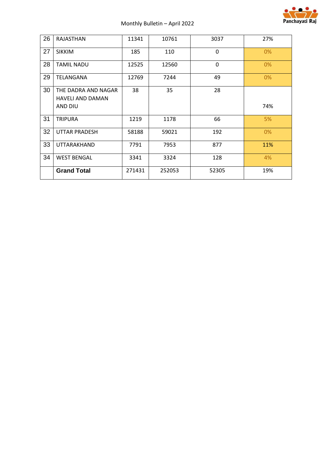

| 26 | RAJASTHAN               | 11341  | 10761  | 3037     | 27%   |
|----|-------------------------|--------|--------|----------|-------|
| 27 | <b>SIKKIM</b>           | 185    | 110    | $\Omega$ | $0\%$ |
| 28 | <b>TAMIL NADU</b>       | 12525  | 12560  | 0        | 0%    |
| 29 | TELANGANA               | 12769  | 7244   | 49       | 0%    |
| 30 | THE DADRA AND NAGAR     | 38     | 35     | 28       |       |
|    | <b>HAVELI AND DAMAN</b> |        |        |          |       |
|    | AND DIU                 |        |        |          | 74%   |
| 31 | <b>TRIPURA</b>          | 1219   | 1178   | 66       | 5%    |
| 32 | <b>UTTAR PRADESH</b>    | 58188  | 59021  | 192      | $0\%$ |
| 33 | UTTARAKHAND             | 7791   | 7953   | 877      | 11%   |
| 34 | <b>WEST BENGAL</b>      | 3341   | 3324   | 128      | 4%    |
|    | <b>Grand Total</b>      | 271431 | 252053 | 52305    | 19%   |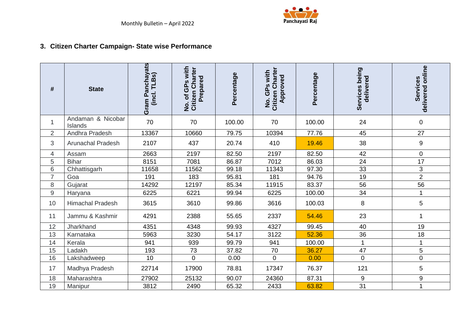

# **3. Citizen Charter Campaign- State wise Performance**

<span id="page-5-0"></span>

| #              | <b>State</b>                 | Gram Panchayats<br>(incl. TLBs) | with<br>No. of GPs with<br>Citizen Charter<br>Prepared | Percentage | Citizen Charter<br>No. GPs with<br>Approved | Percentage | Services being<br>delivered | delivered online<br>Services |
|----------------|------------------------------|---------------------------------|--------------------------------------------------------|------------|---------------------------------------------|------------|-----------------------------|------------------------------|
| $\mathbf{1}$   | Andaman & Nicobar<br>Islands | 70                              | 70                                                     | 100.00     | 70                                          | 100.00     | 24                          | $\pmb{0}$                    |
| $\overline{2}$ | Andhra Pradesh               | 13367                           | 10660                                                  | 79.75      | 10394                                       | 77.76      | 45                          | 27                           |
| 3              | <b>Arunachal Pradesh</b>     | 2107                            | 437                                                    | 20.74      | 410                                         | 19.46      | 38                          | $\boldsymbol{9}$             |
| 4              | Assam                        | 2663                            | 2197                                                   | 82.50      | 2197                                        | 82.50      | 42                          | $\mathbf 0$                  |
| 5              | <b>Bihar</b>                 | 8151                            | 7081                                                   | 86.87      | 7012                                        | 86.03      | 24                          | 17                           |
| 6              | Chhattisgarh                 | 11658                           | 11562                                                  | 99.18      | 11343                                       | 97.30      | 33                          | 3                            |
| $\overline{7}$ | Goa                          | 191                             | 183                                                    | 95.81      | 181                                         | 94.76      | 19                          | $\overline{2}$               |
| 8              | Gujarat                      | 14292                           | 12197                                                  | 85.34      | 11915                                       | 83.37      | 56                          | 56                           |
| $9\,$          | Haryana                      | 6225                            | 6221                                                   | 99.94      | 6225                                        | 100.00     | 34                          | $\blacktriangleleft$         |
| 10             | <b>Himachal Pradesh</b>      | 3615                            | 3610                                                   | 99.86      | 3616                                        | 100.03     | 8                           | 5                            |
| 11             | Jammu & Kashmir              | 4291                            | 2388                                                   | 55.65      | 2337                                        | 54.46      | 23                          | 1                            |
| 12             | Jharkhand                    | 4351                            | 4348                                                   | 99.93      | 4327                                        | 99.45      | 40                          | 19                           |
| 13             | Karnataka                    | 5963                            | 3230                                                   | 54.17      | 3122                                        | 52.36      | 36                          | 18                           |
| 14             | Kerala                       | 941                             | 939                                                    | 99.79      | 941                                         | 100.00     |                             | 1                            |
| 15             | Ladakh                       | 193                             | 73                                                     | 37.82      | 70                                          | 36.27      | 47                          | 5                            |
| 16             | Lakshadweep                  | 10                              | 0                                                      | 0.00       | $\overline{0}$                              | 0.00       | $\overline{0}$              | $\overline{0}$               |
| 17             | Madhya Pradesh               | 22714                           | 17900                                                  | 78.81      | 17347                                       | 76.37      | 121                         | 5                            |
| 18             | Maharashtra                  | 27902                           | 25132                                                  | 90.07      | 24360                                       | 87.31      | 9                           | 9                            |
| 19             | Manipur                      | 3812                            | 2490                                                   | 65.32      | 2433                                        | 63.82      | 31                          | 1                            |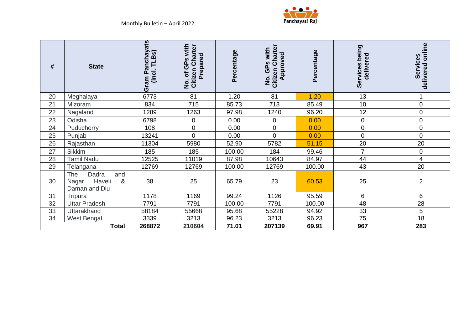

| #  | <b>State</b>                                                        | Panchayats<br>TLBs)<br>incl.<br>Gram | with<br>No. of GPs with<br>Citizen Charter<br>Prepared | Percentage | <b>Citizen Charter</b><br>GPs with<br>Approved<br>ġ | Percentage | Services being<br>delivered | delivered online<br>Services |
|----|---------------------------------------------------------------------|--------------------------------------|--------------------------------------------------------|------------|-----------------------------------------------------|------------|-----------------------------|------------------------------|
| 20 | Meghalaya                                                           | 6773                                 | 81                                                     | 1.20       | 81                                                  | 1.20       | 13                          |                              |
| 21 | Mizoram                                                             | 834                                  | 715                                                    | 85.73      | 713                                                 | 85.49      | 10                          | 0                            |
| 22 | Nagaland                                                            | 1289                                 | 1263                                                   | 97.98      | 1240                                                | 96.20      | 12                          | $\mathbf 0$                  |
| 23 | Odisha                                                              | 6798                                 | $\pmb{0}$                                              | 0.00       | $\pmb{0}$                                           | 0.00       | $\mathbf 0$                 | $\pmb{0}$                    |
| 24 | Puducherry                                                          | 108                                  | 0                                                      | 0.00       | $\mathbf 0$                                         | 0.00       | $\mathbf 0$                 | 0                            |
| 25 | Punjab                                                              | 13241                                | $\overline{0}$                                         | 0.00       | $\overline{0}$                                      | 0.00       | $\overline{0}$              | $\pmb{0}$                    |
| 26 | Rajasthan                                                           | 11304                                | 5980                                                   | 52.90      | 5782                                                | 51.15      | 20                          | 20                           |
| 27 | <b>Sikkim</b>                                                       | 185                                  | 185                                                    | 100.00     | 184                                                 | 99.46      | 7                           | 0                            |
| 28 | <b>Tamil Nadu</b>                                                   | 12525                                | 11019                                                  | 87.98      | 10643                                               | 84.97      | 44                          | 4                            |
| 29 | Telangana                                                           | 12769                                | 12769                                                  | 100.00     | 12769                                               | 100.00     | 43                          | 20                           |
| 30 | Dadra<br><b>The</b><br>and<br>Haveli<br>Nagar<br>&<br>Daman and Diu | 38                                   | 25                                                     | 65.79      | 23                                                  | 60.53      | 25                          | $\overline{2}$               |
| 31 | Tripura                                                             | 1178                                 | 1169                                                   | 99.24      | 1126                                                | 95.59      | 6                           | 6                            |
| 32 | <b>Uttar Pradesh</b>                                                | 7791                                 | 7791                                                   | 100.00     | 7791                                                | 100.00     | 48                          | 28                           |
| 33 | <b>Uttarakhand</b>                                                  | 58184                                | 55668                                                  | 95.68      | 55228                                               | 94.92      | 33                          | 5                            |
| 34 | West Bengal                                                         | 3339                                 | 3213                                                   | 96.23      | 3213                                                | 96.23      | 75                          | 18                           |
|    | <b>Total</b>                                                        | 268872                               | 210604                                                 | 71.01      | 207139                                              | 69.91      | 967                         | 283                          |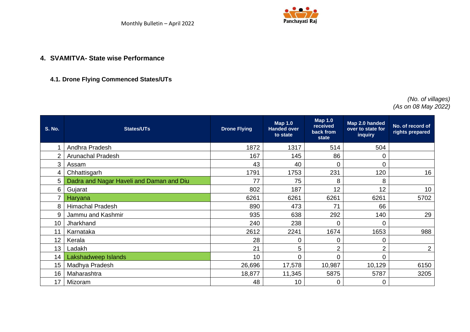

#### **4.1. Drone Flying Commenced States/UTs**

#### *(No. of villages) (As on 08 May 2022)*

<span id="page-7-1"></span><span id="page-7-0"></span>

| <b>S. No.</b> | <b>States/UTs</b>                        | <b>Drone Flying</b> | <b>Map 1.0</b><br><b>Handed over</b><br>to state | <b>Map 1.0</b><br>received<br>back from<br>state | Map 2.0 handed<br>over to state for<br><b>inquiry</b> | No. of record of<br>rights prepared |
|---------------|------------------------------------------|---------------------|--------------------------------------------------|--------------------------------------------------|-------------------------------------------------------|-------------------------------------|
|               | Andhra Pradesh                           | 1872                | 1317                                             | 514                                              | 504                                                   |                                     |
|               | <b>Arunachal Pradesh</b>                 | 167                 | 145                                              | 86                                               | 0                                                     |                                     |
| 3             | Assam                                    | 43                  | 40                                               | 0                                                | 0                                                     |                                     |
| 4             | Chhattisgarh                             | 1791                | 1753                                             | 231                                              | 120                                                   | 16                                  |
| 5             | Dadra and Nagar Haveli and Daman and Diu | 77                  | 75                                               | 8                                                | 8                                                     |                                     |
| 6             | Gujarat                                  | 802                 | 187                                              | 12                                               | 12                                                    | 10 <sup>°</sup>                     |
|               | Haryana                                  | 6261                | 6261                                             | 6261                                             | 6261                                                  | 5702                                |
| 8             | <b>Himachal Pradesh</b>                  | 890                 | 473                                              | 71                                               | 66                                                    |                                     |
| 9             | Jammu and Kashmir                        | 935                 | 638                                              | 292                                              | 140                                                   | 29                                  |
| 10            | Jharkhand                                | 240                 | 238                                              | 0                                                | $\overline{0}$                                        |                                     |
| 11            | Karnataka                                | 2612                | 2241                                             | 1674                                             | 1653                                                  | 988                                 |
| 12            | Kerala                                   | 28                  | 0                                                | 0                                                | 0                                                     |                                     |
| 13            | Ladakh                                   | 21                  | 5                                                | $\overline{2}$                                   | $\overline{2}$                                        | $\overline{2}$                      |
| 14            | Lakshadweep Islands                      | 10                  | 0                                                | 0                                                | 0                                                     |                                     |
| 15            | Madhya Pradesh                           | 26,696              | 17,578                                           | 10,987                                           | 10,129                                                | 6150                                |
| 16            | Maharashtra                              | 18,877              | 11,345                                           | 5875                                             | 5787                                                  | 3205                                |
| 17            | Mizoram                                  | 48                  | 10                                               | 0                                                | 0                                                     |                                     |

Panchayati Raj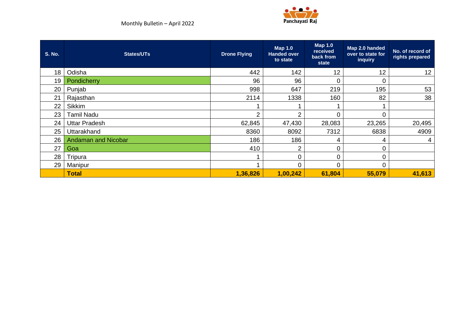

| <b>S. No.</b> | <b>States/UTs</b>          | <b>Drone Flying</b> | <b>Map 1.0</b><br><b>Handed over</b><br>to state | <b>Map 1.0</b><br>received<br>back from<br>state | Map 2.0 handed<br>over to state for<br>inquiry | No. of record of<br>rights prepared |
|---------------|----------------------------|---------------------|--------------------------------------------------|--------------------------------------------------|------------------------------------------------|-------------------------------------|
| 18            | Odisha                     | 442                 | 142                                              | 12                                               | 12                                             | 12                                  |
| 19            | Pondicherry                | 96                  | 96                                               | $\Omega$                                         | 0                                              |                                     |
| 20            | Punjab                     | 998                 | 647                                              | 219                                              | 195                                            | 53                                  |
| 21            | Rajasthan                  | 2114                | 1338                                             | 160                                              | 82                                             | 38                                  |
| 22            | <b>Sikkim</b>              |                     |                                                  |                                                  |                                                |                                     |
| 23            | <b>Tamil Nadu</b>          | $\mathcal{P}$       | $\mathcal{P}$                                    | 0                                                | 0                                              |                                     |
| 24            | <b>Uttar Pradesh</b>       | 62,845              | 47,430                                           | 28,083                                           | 23,265                                         | 20,495                              |
| 25            | Uttarakhand                | 8360                | 8092                                             | 7312                                             | 6838                                           | 4909                                |
| 26            | <b>Andaman and Nicobar</b> | 186                 | 186                                              | 4                                                | 4                                              | 4                                   |
| 27            | Goa                        | 410                 | $\overline{2}$                                   | 0                                                | 0                                              |                                     |
| 28            | Tripura                    |                     | 0                                                | 0                                                | 0                                              |                                     |
| 29            | Manipur                    |                     | $\Omega$                                         | 0                                                | 0                                              |                                     |
|               | <b>Total</b>               | 1,36,826            | 1,00,242                                         | 61,804                                           | 55,079                                         | 41,613                              |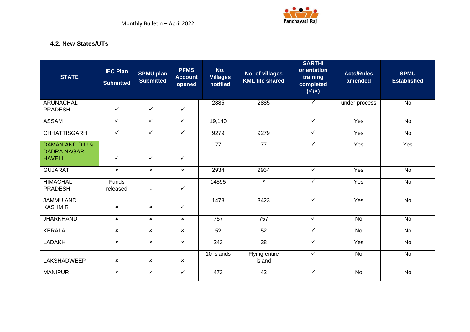

#### **4.2. New States/UTs**

<span id="page-9-0"></span>

| <b>STATE</b>                                                      | <b>IEC Plan</b><br><b>Submitted</b> | <b>SPMU plan</b><br><b>Submitted</b> | <b>PFMS</b><br><b>Account</b><br>opened | No.<br><b>Villages</b><br>notified | No. of villages<br><b>KML</b> file shared | <b>SARTHI</b><br>orientation<br>training<br>completed<br>$(\sqrt{1}x)$ | <b>Acts/Rules</b><br>amended | <b>SPMU</b><br><b>Established</b> |
|-------------------------------------------------------------------|-------------------------------------|--------------------------------------|-----------------------------------------|------------------------------------|-------------------------------------------|------------------------------------------------------------------------|------------------------------|-----------------------------------|
| <b>ARUNACHAL</b><br><b>PRADESH</b>                                | $\checkmark$                        | $\checkmark$                         | $\checkmark$                            | 2885                               | 2885                                      | $\checkmark$                                                           | under process                | <b>No</b>                         |
| <b>ASSAM</b>                                                      | $\checkmark$                        | $\checkmark$                         | $\checkmark$                            | 19,140                             |                                           | $\checkmark$                                                           | Yes                          | No                                |
| <b>CHHATTISGARH</b>                                               | $\checkmark$                        | $\checkmark$                         | $\checkmark$                            | 9279                               | 9279                                      | ✓                                                                      | Yes                          | $\overline{N}$                    |
| <b>DAMAN AND DIU &amp;</b><br><b>DADRA NAGAR</b><br><b>HAVELI</b> | $\checkmark$                        | $\checkmark$                         | $\checkmark$                            | $\overline{77}$                    | $\overline{77}$                           | $\checkmark$                                                           | Yes                          | Yes                               |
| <b>GUJARAT</b>                                                    | $\pmb{\times}$                      | $\pmb{\times}$                       | $\boldsymbol{\mathsf{x}}$               | 2934                               | 2934                                      | $\checkmark$                                                           | Yes                          | No                                |
| <b>HIMACHAL</b><br><b>PRADESH</b>                                 | <b>Funds</b><br>released            | $\blacksquare$                       | $\checkmark$                            | 14595                              | $\pmb{\times}$                            | $\checkmark$                                                           | Yes                          | $\overline{N}$                    |
| <b>JAMMU AND</b><br><b>KASHMIR</b>                                | $\pmb{\times}$                      | $\pmb{\times}$                       | ✓                                       | 1478                               | 3423                                      | $\checkmark$                                                           | Yes                          | <b>No</b>                         |
| <b>JHARKHAND</b>                                                  | $\pmb{\times}$                      | $\boldsymbol{\mathsf{x}}$            | $\boldsymbol{\mathsf{x}}$               | 757                                | 757                                       | $\checkmark$                                                           | No                           | <b>No</b>                         |
| <b>KERALA</b>                                                     | $\pmb{\times}$                      | $\boldsymbol{\mathsf{x}}$            | $\boldsymbol{\mathsf{x}}$               | $\overline{52}$                    | 52                                        | $\checkmark$                                                           | No                           | <b>No</b>                         |
| <b>LADAKH</b>                                                     | $\pmb{\times}$                      | $\mathbf{x}$                         | $\mathbf{x}$                            | 243                                | $\overline{38}$                           | $\checkmark$                                                           | Yes                          | $\overline{N}$                    |
| <b>LAKSHADWEEP</b>                                                | $\pmb{\times}$                      | $\pmb{\times}$                       | $\pmb{\times}$                          | 10 islands                         | Flying entire<br>island                   | ✓                                                                      | $\overline{N}$               | No                                |
| <b>MANIPUR</b>                                                    | $\pmb{\times}$                      | $\pmb{\times}$                       | $\checkmark$                            | 473                                | 42                                        | $\checkmark$                                                           | <b>No</b>                    | <b>No</b>                         |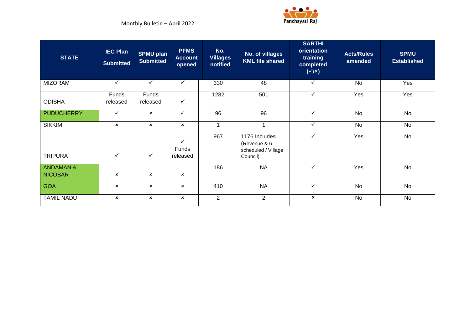

| <b>STATE</b>                           | <b>IEC Plan</b><br><b>Submitted</b> | <b>SPMU plan</b><br><b>Submitted</b> | <b>PFMS</b><br><b>Account</b><br>opened | No.<br><b>Villages</b><br>notified | No. of villages<br><b>KML file shared</b>                        | <b>SARTHI</b><br>orientation<br>training<br>completed<br>$(\sqrt{x})$ | <b>Acts/Rules</b><br>amended | <b>SPMU</b><br><b>Established</b> |
|----------------------------------------|-------------------------------------|--------------------------------------|-----------------------------------------|------------------------------------|------------------------------------------------------------------|-----------------------------------------------------------------------|------------------------------|-----------------------------------|
| <b>MIZORAM</b>                         | $\checkmark$                        | $\checkmark$                         | $\checkmark$                            | 330                                | 48                                                               | $\checkmark$                                                          | No                           | Yes                               |
| <b>ODISHA</b>                          | Funds<br>released                   | Funds<br>released                    | $\checkmark$                            | 1282                               | 501                                                              | $\checkmark$                                                          | Yes                          | Yes                               |
| <b>PUDUCHERRY</b>                      | $\checkmark$                        | $\mathbf{x}$                         | $\checkmark$                            | $\overline{96}$                    | 96                                                               | $\checkmark$                                                          | No                           | No                                |
| <b>SIKKIM</b>                          | $\mathbf x$                         | $\mathbf x$                          | $\mathbf x$                             | $\overline{1}$                     | 4                                                                | $\checkmark$                                                          | No                           | No                                |
| <b>TRIPURA</b>                         | $\checkmark$                        | $\checkmark$                         | ✓<br>Funds<br>released                  | 967                                | 1176 Includes<br>(Revenue & 6<br>scheduled / Village<br>Council) | $\checkmark$                                                          | Yes                          | <b>No</b>                         |
| <b>ANDAMAN &amp;</b><br><b>NICOBAR</b> | ×                                   | $\pmb{\times}$                       | $\boldsymbol{\mathsf{x}}$               | 186                                | <b>NA</b>                                                        | $\checkmark$                                                          | Yes                          | <b>No</b>                         |
| <b>GOA</b>                             | $\mathbf x$                         | $\mathbf x$                          | $\mathbf x$                             | 410                                | <b>NA</b>                                                        | $\checkmark$                                                          | No                           | No                                |
| <b>TAMIL NADU</b>                      | $\boldsymbol{\mathsf{x}}$           | $\boldsymbol{\mathsf{x}}$            | $\pmb{\times}$                          | $\overline{2}$                     | $\overline{2}$                                                   | $\mathbf x$                                                           | No                           | No                                |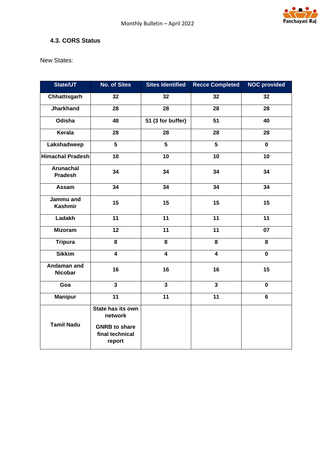

#### <span id="page-11-0"></span>**4.3. CORS Status**

New States:

| State/UT                           | <b>No. of Sites</b>                                                               | <b>Sites Identified</b> | <b>Recce Completed</b>  | <b>NOC provided</b> |
|------------------------------------|-----------------------------------------------------------------------------------|-------------------------|-------------------------|---------------------|
| Chhattisgarh                       | 32                                                                                | 32                      | 32                      | 32                  |
| <b>Jharkhand</b>                   | 28                                                                                | 28                      | 28                      | 28                  |
| Odisha                             | 48                                                                                | 51 (3 for buffer)       | 51                      | 40                  |
| Kerala                             | 28                                                                                | 28                      | 28                      | 28                  |
| Lakshadweep                        | $5\phantom{.0}$                                                                   | $5\phantom{a}$          | $5\phantom{a}$          | $\mathbf 0$         |
| <b>Himachal Pradesh</b>            | 10                                                                                | 10                      | 10                      | 10                  |
| <b>Arunachal</b><br><b>Pradesh</b> | 34                                                                                | 34                      | 34                      | 34                  |
| Assam                              | 34                                                                                | 34                      | 34                      | 34                  |
| Jammu and<br><b>Kashmir</b>        | 15                                                                                | 15                      | 15                      | 15                  |
| Ladakh                             | 11                                                                                | 11                      | 11                      | 11                  |
| <b>Mizoram</b>                     | 12                                                                                | 11                      | 11                      | 07                  |
| <b>Tripura</b>                     | 8                                                                                 | 8                       | 8                       | 8                   |
| <b>Sikkim</b>                      | $\overline{\mathbf{4}}$                                                           | $\overline{\mathbf{4}}$ | $\overline{\mathbf{4}}$ | $\mathbf 0$         |
| Andaman and<br><b>Nicobar</b>      | 16                                                                                | 16                      | 16                      | 15                  |
| Goa                                | $\overline{\mathbf{3}}$                                                           | $\mathbf{3}$            | $\overline{\mathbf{3}}$ | 0                   |
| <b>Manipur</b>                     | 11                                                                                | 11                      | 11                      | 6                   |
| <b>Tamil Nadu</b>                  | State has its own<br>network<br><b>GNRB to share</b><br>final technical<br>report |                         |                         |                     |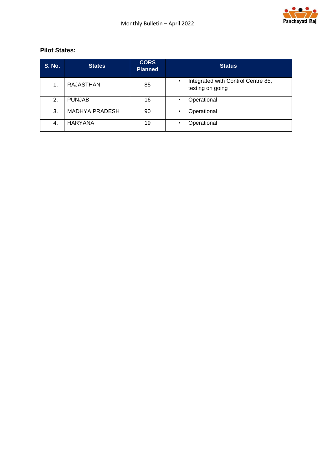

#### **Pilot States:**

| <b>S. No.</b> | <b>States</b>         | <b>CORS</b><br><b>Planned</b> | <b>Status</b>                                          |
|---------------|-----------------------|-------------------------------|--------------------------------------------------------|
| 1.            | <b>RAJASTHAN</b>      | 85                            | Integrated with Control Centre 85,<br>testing on going |
| 2.            | <b>PUNJAB</b>         | 16                            | Operational<br>$\bullet$                               |
| 3.            | <b>MADHYA PRADESH</b> | 90                            | Operational<br>٠                                       |
| 4.            | <b>HARYANA</b>        | 19                            | Operational<br>$\bullet$                               |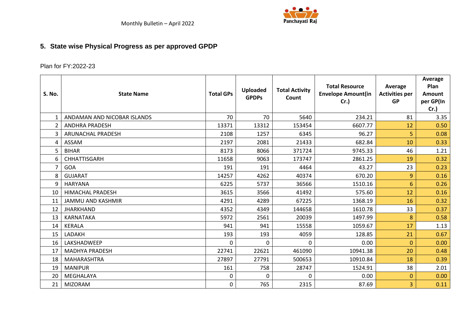

# **5. State wise Physical Progress as per approved GPDP**

## Plan for FY:2022-23

<span id="page-13-0"></span>

| <b>S. No.</b>  | <b>State Name</b>           | <b>Total GPs</b> | <b>Uploaded</b><br><b>GPDPs</b> | <b>Total Activity</b><br>Count | <b>Total Resource</b><br><b>Envelope Amount(in</b><br>Cr.) | Average<br><b>Activities per</b><br><b>GP</b> | Average<br>Plan<br><b>Amount</b><br>per GP(In<br>$Cr.$ ) |
|----------------|-----------------------------|------------------|---------------------------------|--------------------------------|------------------------------------------------------------|-----------------------------------------------|----------------------------------------------------------|
| $\mathbf{1}$   | ANDAMAN AND NICOBAR ISLANDS | 70               | 70                              | 5640                           | 234.21                                                     | 81                                            | 3.35                                                     |
| $\overline{2}$ | <b>ANDHRA PRADESH</b>       | 13371            | 13312                           | 153454                         | 6607.77                                                    | 12                                            | 0.50                                                     |
| 3              | ARUNACHAL PRADESH           | 2108             | 1257                            | 6345                           | 96.27                                                      | 5                                             | 0.08                                                     |
| 4              | ASSAM                       | 2197             | 2081                            | 21433                          | 682.84                                                     | 10                                            | 0.33                                                     |
| 5              | <b>BIHAR</b>                | 8173             | 8066                            | 371724                         | 9745.33                                                    | 46                                            | 1.21                                                     |
| 6              | CHHATTISGARH                | 11658            | 9063                            | 173747                         | 2861.25                                                    | 19                                            | 0.32                                                     |
| 7              | GOA                         | 191              | 191                             | 4464                           | 43.27                                                      | 23                                            | 0.23                                                     |
| 8              | <b>GUJARAT</b>              | 14257            | 4262                            | 40374                          | 670.20                                                     | 9                                             | 0.16                                                     |
| 9              | <b>HARYANA</b>              | 6225             | 5737                            | 36566                          | 1510.16                                                    | 6                                             | 0.26                                                     |
| 10             | <b>HIMACHAL PRADESH</b>     | 3615             | 3566                            | 41492                          | 575.60                                                     | 12                                            | 0.16                                                     |
| 11             | <b>JAMMU AND KASHMIR</b>    | 4291             | 4289                            | 67225                          | 1368.19                                                    | 16                                            | 0.32                                                     |
| 12             | <b>JHARKHAND</b>            | 4352             | 4349                            | 144658                         | 1610.78                                                    | 33                                            | 0.37                                                     |
| 13             | KARNATAKA                   | 5972             | 2561                            | 20039                          | 1497.99                                                    | 8                                             | 0.58                                                     |
| 14             | <b>KERALA</b>               | 941              | 941                             | 15558                          | 1059.67                                                    | 17                                            | 1.13                                                     |
| 15             | LADAKH                      | 193              | 193                             | 4059                           | 128.85                                                     | 21                                            | 0.67                                                     |
| 16             | LAKSHADWEEP                 | 0                | $\mathbf{0}$                    | $\mathbf 0$                    | 0.00                                                       | 0                                             | 0.00                                                     |
| 17             | <b>MADHYA PRADESH</b>       | 22741            | 22621                           | 461090                         | 10941.38                                                   | 20                                            | 0.48                                                     |
| 18             | MAHARASHTRA                 | 27897            | 27791                           | 500653                         | 10910.84                                                   | 18                                            | 0.39                                                     |
| 19             | <b>MANIPUR</b>              | 161              | 758                             | 28747                          | 1524.91                                                    | 38                                            | 2.01                                                     |
| 20             | MEGHALAYA                   | 0                | $\Omega$                        | $\Omega$                       | 0.00                                                       | 0                                             | 0.00                                                     |
| 21             | <b>MIZORAM</b>              | 0                | 765                             | 2315                           | 87.69                                                      | 3                                             | 0.11                                                     |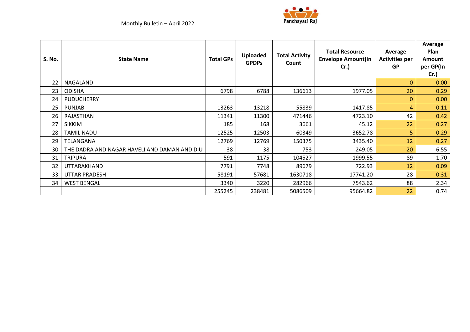



| <b>S. No.</b> | <b>State Name</b>                            | <b>Total GPs</b> | <b>Uploaded</b><br><b>GPDPs</b> | <b>Total Activity</b><br>Count | <b>Total Resource</b><br><b>Envelope Amount(in</b><br>Cr.) | Average<br><b>Activities per</b><br><b>GP</b> | Average<br>Plan<br><b>Amount</b><br>per GP(In<br>Cr. |
|---------------|----------------------------------------------|------------------|---------------------------------|--------------------------------|------------------------------------------------------------|-----------------------------------------------|------------------------------------------------------|
| 22            | NAGALAND                                     |                  |                                 |                                |                                                            | $\mathbf{0}$                                  | 0.00                                                 |
| 23            | <b>ODISHA</b>                                | 6798             | 6788                            | 136613                         | 1977.05                                                    | 20                                            | 0.29                                                 |
| 24            | PUDUCHERRY                                   |                  |                                 |                                |                                                            | $\mathbf{0}$                                  | 0.00                                                 |
| 25            | <b>PUNJAB</b>                                | 13263            | 13218                           | 55839                          | 1417.85                                                    | 4                                             | 0.11                                                 |
| 26            | RAJASTHAN                                    | 11341            | 11300                           | 471446                         | 4723.10                                                    | 42                                            | 0.42                                                 |
| 27            | <b>SIKKIM</b>                                | 185              | 168                             | 3661                           | 45.12                                                      | 22                                            | 0.27                                                 |
| 28            | <b>TAMIL NADU</b>                            | 12525            | 12503                           | 60349                          | 3652.78                                                    | 5                                             | 0.29                                                 |
| 29            | TELANGANA                                    | 12769            | 12769                           | 150375                         | 3435.40                                                    | 12                                            | 0.27                                                 |
| 30            | THE DADRA AND NAGAR HAVELI AND DAMAN AND DIU | 38               | 38                              | 753                            | 249.05                                                     | 20                                            | 6.55                                                 |
| 31            | <b>TRIPURA</b>                               | 591              | 1175                            | 104527                         | 1999.55                                                    | 89                                            | 1.70                                                 |
| 32            | UTTARAKHAND                                  | 7791             | 7748                            | 89679                          | 722.93                                                     | 12                                            | 0.09                                                 |
| 33            | <b>UTTAR PRADESH</b>                         | 58191            | 57681                           | 1630718                        | 17741.20                                                   | 28                                            | 0.31                                                 |
| 34            | <b>WEST BENGAL</b>                           | 3340             | 3220                            | 282966                         | 7543.62                                                    | 88                                            | 2.34                                                 |
|               |                                              | 255245           | 238481                          | 5086509                        | 95664.82                                                   | 22                                            | 0.74                                                 |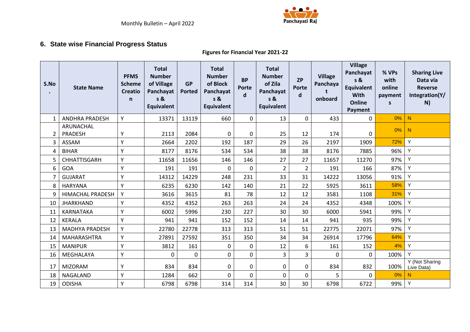

## **6. State wise Financial Progress Status**

#### **Figures for Financial Year 2021-22**

<span id="page-15-0"></span>

| S.No           | <b>State Name</b>       | <b>PFMS</b><br><b>Scheme</b><br><b>Creatio</b><br>$\mathsf{n}$ | <b>Total</b><br><b>Number</b><br>of Village<br>Panchayat<br>s &<br>Equivalent | <b>GP</b><br><b>Ported</b> | <b>Total</b><br><b>Number</b><br>of Block<br>Panchayat<br>s &<br><b>Equivalent</b> | <b>BP</b><br><b>Porte</b><br>$\mathbf d$ | <b>Total</b><br><b>Number</b><br>of Zila<br>Panchayat<br>s &<br><b>Equivalent</b> | <b>ZP</b><br>Porte<br>d | <b>Village</b><br>Panchaya<br>onboard | <b>Village</b><br>Panchayat<br>s &<br><b>Equivalent</b><br>With<br>Online<br>Payment | % VPs<br>with<br>online<br>payment<br>S | <b>Sharing Live</b><br>Data via<br><b>Reverse</b><br>Integration(Y/<br>N) |
|----------------|-------------------------|----------------------------------------------------------------|-------------------------------------------------------------------------------|----------------------------|------------------------------------------------------------------------------------|------------------------------------------|-----------------------------------------------------------------------------------|-------------------------|---------------------------------------|--------------------------------------------------------------------------------------|-----------------------------------------|---------------------------------------------------------------------------|
| 1              | <b>ANDHRA PRADESH</b>   | Y                                                              | 13371                                                                         | 13119                      | 660                                                                                | 0                                        | 13                                                                                | $\mathbf 0$             | 433                                   | $\mathbf 0$                                                                          | 0%                                      | N.                                                                        |
| $\overline{2}$ | ARUNACHAL<br>PRADESH    | v                                                              | 2113                                                                          | 2084                       | 0                                                                                  | $\mathbf 0$                              | 25                                                                                | 12                      | 174                                   | 0                                                                                    | 0%                                      | N                                                                         |
| $\overline{3}$ | <b>ASSAM</b>            | v                                                              | 2664                                                                          | 2202                       | 192                                                                                | 187                                      | 29                                                                                | 26                      | 2197                                  | 1909                                                                                 | 72%                                     | Y                                                                         |
| 4              | <b>BIHAR</b>            | Y                                                              | 8177                                                                          | 8176                       | 534                                                                                | 534                                      | 38                                                                                | 38                      | 8176                                  | 7885                                                                                 | 96%                                     | Y                                                                         |
| 5              | <b>CHHATTISGARH</b>     | γ                                                              | 11658                                                                         | 11656                      | 146                                                                                | 146                                      | 27                                                                                | 27                      | 11657                                 | 11270                                                                                | 97%                                     | Y                                                                         |
| 6              | GOA                     | v                                                              | 191                                                                           | 191                        | 0                                                                                  | $\Omega$                                 | $\overline{2}$                                                                    | $\overline{2}$          | 191                                   | 166                                                                                  | 87%                                     | Y                                                                         |
| 7              | <b>GUJARAT</b>          | Y                                                              | 14312                                                                         | 14229                      | 248                                                                                | 231                                      | 33                                                                                | 31                      | 14222                                 | 13056                                                                                | 91%                                     | Y                                                                         |
| 8              | <b>HARYANA</b>          | v                                                              | 6235                                                                          | 6230                       | 142                                                                                | 140                                      | 21                                                                                | 22                      | 5925                                  | 3611                                                                                 | 58%                                     | Y                                                                         |
| 9              | <b>HIMACHAL PRADESH</b> | Y                                                              | 3616                                                                          | 3615                       | 81                                                                                 | 78                                       | 12                                                                                | 12                      | 3581                                  | 1108                                                                                 | 31%                                     | Y                                                                         |
| 10             | <b>JHARKHAND</b>        | Y                                                              | 4352                                                                          | 4352                       | 263                                                                                | 263                                      | 24                                                                                | 24                      | 4352                                  | 4348                                                                                 | 100%                                    | Y                                                                         |
| 11             | <b>KARNATAKA</b>        | Y                                                              | 6002                                                                          | 5996                       | 230                                                                                | 227                                      | 30                                                                                | 30                      | 6000                                  | 5941                                                                                 | 99%                                     | Y                                                                         |
| 12             | <b>KERALA</b>           | v                                                              | 941                                                                           | 941                        | 152                                                                                | 152                                      | 14                                                                                | 14                      | 941                                   | 935                                                                                  | 99%                                     | Y                                                                         |
| 13             | <b>MADHYA PRADESH</b>   | Υ                                                              | 22780                                                                         | 22778                      | 313                                                                                | 313                                      | 51                                                                                | 51                      | 22775                                 | 22071                                                                                | 97%                                     | Y                                                                         |
| 14             | <b>MAHARASHTRA</b>      | Y                                                              | 27891                                                                         | 27592                      | 351                                                                                | 350                                      | 34                                                                                | 34                      | 26914                                 | 17796                                                                                | 64%                                     | Υ                                                                         |
| 15             | <b>MANIPUR</b>          | v                                                              | 3812                                                                          | 161                        | 0                                                                                  | 0                                        | 12                                                                                | 6                       | 161                                   | 152                                                                                  | 4%                                      | Y                                                                         |
| 16             | MEGHALAYA               | Y                                                              | 0                                                                             | 0                          | 0                                                                                  | 0                                        | 3                                                                                 | 3                       | $\mathbf{0}$                          | $\mathbf{0}$                                                                         | 100%                                    | Y                                                                         |
| 17             | <b>MIZORAM</b>          | Υ                                                              | 834                                                                           | 834                        | 0                                                                                  | $\mathbf 0$                              | 0                                                                                 | $\mathbf 0$             | 834                                   | 832                                                                                  | 100%                                    | Y (Not Sharing<br>Live Data)                                              |
| 18             | NAGALAND                | v                                                              | 1284                                                                          | 662                        | 0                                                                                  | $\mathbf 0$                              | $\mathbf 0$                                                                       | 0                       | 5                                     | 0                                                                                    | 0%                                      | N                                                                         |
| 19             | <b>ODISHA</b>           | $\checkmark$                                                   | 6798                                                                          | 6798                       | 314                                                                                | 314                                      | 30                                                                                | 30                      | 6798                                  | 6722                                                                                 | 99%                                     | Y                                                                         |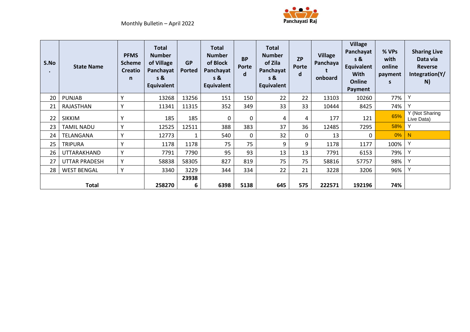

| S.No<br>$\bullet$ | <b>State Name</b>    | <b>PFMS</b><br><b>Scheme</b><br><b>Creatio</b><br>n | <b>Total</b><br><b>Number</b><br>of Village<br>Panchayat<br>s &<br><b>Equivalent</b> | <b>GP</b><br>Ported | <b>Total</b><br><b>Number</b><br>of Block<br>Panchayat<br>s &<br><b>Equivalent</b> | <b>BP</b><br>Porte<br>d | <b>Total</b><br><b>Number</b><br>of Zila<br>Panchayat<br>$s$ &<br><b>Equivalent</b> | <b>ZP</b><br><b>Porte</b><br>d | <b>Village</b><br>Panchaya<br>onboard | <b>Village</b><br>Panchayat<br>s &<br><b>Equivalent</b><br><b>With</b><br>Online<br>Payment | % VPs<br>with<br>online<br>payment<br>s | <b>Sharing Live</b><br>Data via<br>Reverse<br>Integration(Y/<br>N) |
|-------------------|----------------------|-----------------------------------------------------|--------------------------------------------------------------------------------------|---------------------|------------------------------------------------------------------------------------|-------------------------|-------------------------------------------------------------------------------------|--------------------------------|---------------------------------------|---------------------------------------------------------------------------------------------|-----------------------------------------|--------------------------------------------------------------------|
| 20                | <b>PUNJAB</b>        | $\checkmark$                                        | 13268                                                                                | 13256               | 151                                                                                | 150                     | 22                                                                                  | 22                             | 13103                                 | 10260                                                                                       | 77%                                     | Y                                                                  |
| 21                | RAJASTHAN            |                                                     | 11341                                                                                | 11315               | 352                                                                                | 349                     | 33                                                                                  | 33                             | 10444                                 | 8425                                                                                        | 74%                                     | $\checkmark$                                                       |
| 22                | <b>SIKKIM</b>        | $\mathsf{v}$                                        | 185                                                                                  | 185                 | 0                                                                                  | 0                       | 4                                                                                   | 4                              | 177                                   | 121                                                                                         | 65%                                     | Y (Not Sharing<br>Live Data)                                       |
| 23                | <b>TAMIL NADU</b>    | $\checkmark$                                        | 12525                                                                                | 12511               | 388                                                                                | 383                     | 37                                                                                  | 36                             | 12485                                 | 7295                                                                                        | 58%                                     | Υ                                                                  |
| 24                | TELANGANA            | Υ                                                   | 12773                                                                                | 1                   | 540                                                                                | 0                       | 32                                                                                  | 0                              | 13                                    | 0                                                                                           | 0%                                      | N                                                                  |
| 25                | <b>TRIPURA</b>       | $\checkmark$                                        | 1178                                                                                 | 1178                | 75                                                                                 | 75                      | 9                                                                                   | 9                              | 1178                                  | 1177                                                                                        | 100%                                    | Υ                                                                  |
| 26                | UTTARAKHAND          | v                                                   | 7791                                                                                 | 7790                | 95                                                                                 | 93                      | 13                                                                                  | 13                             | 7791                                  | 6153                                                                                        | 79%                                     | Υ                                                                  |
| 27                | <b>UTTAR PRADESH</b> | v                                                   | 58838                                                                                | 58305               | 827                                                                                | 819                     | 75                                                                                  | 75                             | 58816                                 | 57757                                                                                       | 98%                                     |                                                                    |
| 28                | <b>WEST BENGAL</b>   | Y                                                   | 3340                                                                                 | 3229                | 344                                                                                | 334                     | 22                                                                                  | 21                             | 3228                                  | 3206                                                                                        | 96%                                     |                                                                    |
|                   |                      |                                                     |                                                                                      | 23938               |                                                                                    |                         |                                                                                     |                                |                                       |                                                                                             |                                         |                                                                    |
|                   | Total                |                                                     | 258270                                                                               | 6                   | 6398                                                                               | 5138                    | 645                                                                                 | 575                            | 222571                                | 192196                                                                                      | 74%                                     |                                                                    |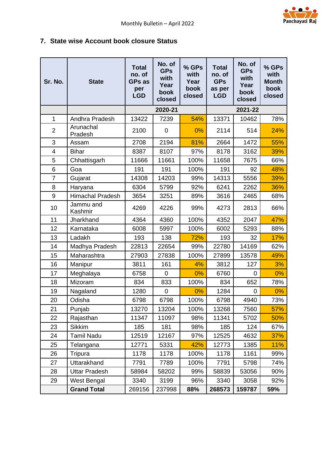

## <span id="page-17-0"></span>**7. State wise Account book closure Status**

| Sr. No.        | <b>State</b>            | <b>Total</b><br>no. of<br><b>GPs as</b><br>per<br><b>LGD</b> | No. of<br><b>GPs</b><br>with<br>Year<br>book<br>closed | % GPs<br>with<br>Year<br>book<br>closed | <b>Total</b><br>no. of<br><b>GPs</b><br>as per<br><b>LGD</b> | No. of<br><b>GPs</b><br>with<br>Year<br>book<br>closed | % GPs<br>with<br><b>Month</b><br>book<br>closed |
|----------------|-------------------------|--------------------------------------------------------------|--------------------------------------------------------|-----------------------------------------|--------------------------------------------------------------|--------------------------------------------------------|-------------------------------------------------|
|                |                         |                                                              | 2020-21                                                |                                         |                                                              | 2021-22                                                |                                                 |
| 1              | Andhra Pradesh          | 13422                                                        | 7239                                                   | 54%                                     | 13371                                                        | 10462                                                  | 78%                                             |
| $\overline{2}$ | Arunachal<br>Pradesh    | 2100                                                         | 0                                                      | 0%                                      | 2114                                                         | 514                                                    | 24%                                             |
| 3              | Assam                   | 2708                                                         | 2194                                                   | 81%                                     | 2664                                                         | 1472                                                   | 55%                                             |
| 4              | <b>Bihar</b>            | 8387                                                         | 8107                                                   | 97%                                     | 8178                                                         | 3162                                                   | 39%                                             |
| 5              | Chhattisgarh            | 11666                                                        | 11661                                                  | 100%                                    | 11658                                                        | 7675                                                   | 66%                                             |
| 6              | Goa                     | 191                                                          | 191                                                    | 100%                                    | 191                                                          | 92                                                     | 48%                                             |
| $\overline{7}$ | Gujarat                 | 14308                                                        | 14203                                                  | 99%                                     | 14313                                                        | 5556                                                   | 39%                                             |
| 8              | Haryana                 | 6304                                                         | 5799                                                   | 92%                                     | 6241                                                         | 2262                                                   | 36%                                             |
| 9              | <b>Himachal Pradesh</b> | 3654                                                         | 3251                                                   | 89%                                     | 3616                                                         | 2465                                                   | 68%                                             |
| 10             | Jammu and<br>Kashmir    | 4269                                                         | 4226                                                   | 99%                                     | 4273                                                         | 2813                                                   | 66%                                             |
| 11             | Jharkhand               | 4364                                                         | 4360                                                   | 100%                                    | 4352                                                         | 2047                                                   | 47%                                             |
| 12             | Karnataka               | 6008                                                         | 5997                                                   | 100%                                    | 6002                                                         | 5293                                                   | 88%                                             |
| 13             | Ladakh                  | 193                                                          | 138                                                    | 72%                                     | 193                                                          | 32                                                     | 17%                                             |
| 14             | Madhya Pradesh          | 22813                                                        | 22654                                                  | 99%                                     | 22780                                                        | 14169                                                  | 62%                                             |
| 15             | Maharashtra             | 27903                                                        | 27838                                                  | 100%                                    | 27899                                                        | 13578                                                  | 49%                                             |
| 16             | Manipur                 | 3811                                                         | 161                                                    | 4%                                      | 3812                                                         | 127                                                    | 3%                                              |
| 17             | Meghalaya               | 6758                                                         | $\mathbf 0$                                            | 0%                                      | 6760                                                         | $\overline{0}$                                         | 0%                                              |
| 18             | Mizoram                 | 834                                                          | 833                                                    | 100%                                    | 834                                                          | 652                                                    | 78%                                             |
| 19             | Nagaland                | 1280                                                         | $\mathbf 0$                                            | 0%                                      | 1284                                                         | $\mathbf 0$                                            | 0%                                              |
| 20             | Odisha                  | 6798                                                         | 6798                                                   | 100%                                    | 6798                                                         | 4940                                                   | 73%                                             |
| 21             | Punjab                  | 13270                                                        | 13204                                                  | 100%                                    | 13268                                                        | 7560                                                   | 57%                                             |
| 22             | Rajasthan               | 11347                                                        | 11097                                                  | 98%                                     | 11341                                                        | 5702                                                   | 50%                                             |
| 23             | <b>Sikkim</b>           | 185                                                          | 181                                                    | 98%                                     | 185                                                          | 124                                                    | 67%                                             |
| 24             | <b>Tamil Nadu</b>       | 12519                                                        | 12167                                                  | 97%                                     | 12525                                                        | 4632                                                   | 37%                                             |
| 25             | Telangana               | 12771                                                        | 5331                                                   | 42%                                     | 12773                                                        | 1385                                                   | 11%                                             |
| 26             | Tripura                 | 1178                                                         | 1178                                                   | 100%                                    | 1178                                                         | 1161                                                   | 99%                                             |
| 27             | Uttarakhand             | 7791                                                         | 7789                                                   | 100%                                    | 7791                                                         | 5798                                                   | 74%                                             |
| 28             | <b>Uttar Pradesh</b>    | 58984                                                        | 58202                                                  | 99%                                     | 58839                                                        | 53056                                                  | 90%                                             |
| 29             | West Bengal             | 3340                                                         | 3199                                                   | 96%                                     | 3340                                                         | 3058                                                   | 92%                                             |
|                | <b>Grand Total</b>      | 269156                                                       | 237998                                                 | 88%                                     | 268573                                                       | 159787                                                 | 59%                                             |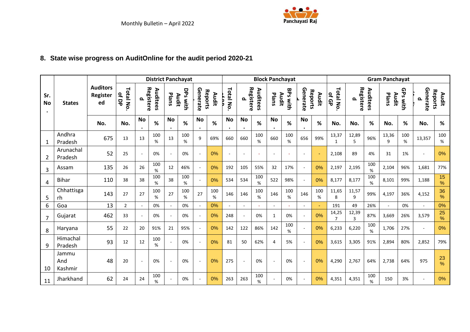

# **8. State wise progress on AuditOnline for the audit period 2020-21**

<span id="page-18-0"></span>

|                  |                         |                                   |                   |           | <b>District Panchayat</b> |       |                   |                          |                  |           |                        |             |             | <b>Block Panchayat</b>   |                             |                  |                         |                       |             | <b>Gram Panchayat</b> |          |               |                  |
|------------------|-------------------------|-----------------------------------|-------------------|-----------|---------------------------|-------|-------------------|--------------------------|------------------|-----------|------------------------|-------------|-------------|--------------------------|-----------------------------|------------------|-------------------------|-----------------------|-------------|-----------------------|----------|---------------|------------------|
| Sr.<br><b>No</b> | <b>States</b>           | <b>Auditors</b><br>Register<br>ed | Total No<br>of DP | ௨         | Registere<br>Auditees     | Plans | DPs with<br>Audit | Generate                 | Reports<br>Audit | Total No. | Registere<br>௨         | Auditees    | Plans       | <b>BPs with</b><br>Audit | Generate                    | Reports<br>Audit | Total No<br>of GP       | Registere<br>௨        | Auditees    | Audit<br>Plans        | GPs with | Generate<br>௨ | Reports<br>Audit |
|                  |                         | No.                               | No.               | <b>No</b> | $\%$                      | No    | %                 | <b>No</b><br>$\bullet$   | %                | <b>No</b> | <b>No</b><br>$\bullet$ | $\%$        | <b>No</b>   | %                        | <b>No</b><br>$\bullet$      | $\%$             | No.                     | No.                   | %           | No.                   | $\%$     | No.           | $\%$             |
| 1                | Andhra<br>Pradesh       | 675                               | 13                | 13        | 100<br>%                  | 13    | 100<br>$\%$       | 9                        | 69%              | 660       | 660                    | 100<br>$\%$ | 660         | 100<br>%                 | 656                         | 99%              | 13,37<br>$\mathbf{1}$   | 12,89<br>5            | 96%         | 13,36<br>9            | 100<br>% | 13,357        | 100<br>$\%$      |
| $\overline{2}$   | Arunachal<br>Pradesh    | 52                                | 25                | $\sim$    | 0%                        |       | 0%                | $\overline{a}$           | 0%               |           | $\sim$                 | ÷.          | ٠           | ÷                        | $\sim$                      |                  | 2,108                   | 89                    | 4%          | 31                    | 1%       | $\sim$        | 0%               |
| 3                | Assam                   | 135                               | 26                | 26        | 100<br>$\%$               | 12    | 46%               | $\sim$                   | 0%               | 192       | 105                    | 55%         | 32          | 17%                      | $\omega$                    | 0%               | 2,197                   | 2,195                 | 100<br>%    | 2,104                 | 96%      | 1,681         | 77%              |
| $\overline{4}$   | <b>Bihar</b>            | 110                               | 38                | 38        | 100<br>%                  | 38    | 100<br>%          | $\sim$                   | 0%               | 534       | 534                    | 100<br>$\%$ | 522         | 98%                      | $\mathbf{r}$                | 0%               | 8,177                   | 8,177                 | 100<br>%    | 8,101                 | 99%      | 1,188         | 15<br>%          |
| 5                | Chhattisga<br>rh        | 143                               | 27                | 27        | 100<br>%                  | 27    | 100<br>%          | 27                       | 100<br>%         | 146       | 146                    | 100<br>%    | 146         | 100<br>%                 | 146                         | 100<br>%         | 11,65<br>8              | 11,57<br>9            | 99%         | 4,197                 | 36%      | 4,152         | 36<br>%          |
| 6                | Goa                     | 13                                | $\overline{2}$    |           | 0%                        |       | 0%                | $\sim$                   | 0%               |           | $\sim$                 |             |             |                          | $\sim$                      | ÷                | 191                     | 49                    | 26%         | $\sim$                | 0%       | $\sim$        | 0%               |
| $\overline{7}$   | Gujarat                 | 462                               | 33                |           | 0%                        |       | 0%                | $\sim$                   | 0%               | 248       | $\overline{a}$         | 0%          | $\mathbf 1$ | 0%                       | $\omega$                    | 0%               | 14,25<br>$\overline{7}$ | 12,39<br>$\mathbf{3}$ | 87%         | 3,669                 | 26%      | 3,579         | 25<br>$\%$       |
| 8                | Haryana                 | 55                                | 22                | 20        | 91%                       | 21    | 95%               | $\sim$                   | 0%               | 142       | 122                    | 86%         | 142         | 100<br>%                 | $\mathcal{L}^{\mathcal{A}}$ | 0%               | 6,233                   | 6,220                 | 100<br>%    | 1,706                 | 27%      | $\sim$        | 0%               |
| 9                | Himachal<br>Pradesh     | 93                                | 12                | 12        | 100<br>%                  |       | 0%                | $\overline{a}$           | 0%               | 81        | 50                     | 62%         | 4           | 5%                       | $\sim$                      | 0%               | 3,615                   | 3,305                 | 91%         | 2,894                 | 80%      | 2,852         | 79%              |
| 10               | Jammu<br>And<br>Kashmir | 48                                | 20                | $\sim$    | 0%                        |       | 0%                | $\overline{a}$           | 0%               | 275       | $\sim$                 | 0%          |             | 0%                       | $\sim$                      | 0%               | 4,290                   | 2,767                 | 64%         | 2,738                 | 64%      | 975           | 23<br>%          |
| 11               | Jharkhand               | 62                                | 24                | 24        | 100<br>%                  |       | 0%                | $\overline{\phantom{a}}$ | 0%               | 263       | 263                    | 100<br>%    |             | 0%                       | $\sim$                      | 0%               | 4,351                   | 4,351                 | 100<br>$\%$ | 150                   | 3%       | $\sim$        | 0%               |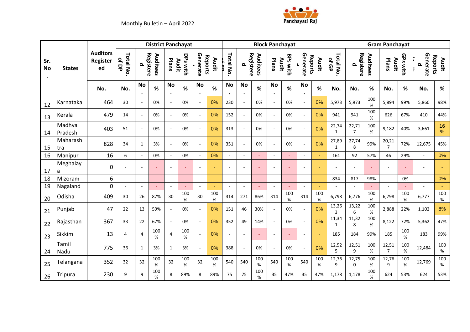



|                  |                   |                                   | <b>District Panchayat</b><br><b>Block Panchayat</b><br><b>Gram Panchayat</b> |                |                       |           |                   |                 |                  |                        |                        |             |                        |                 |                             |                  |                       |                         |             |                         |             |               |                  |
|------------------|-------------------|-----------------------------------|------------------------------------------------------------------------------|----------------|-----------------------|-----------|-------------------|-----------------|------------------|------------------------|------------------------|-------------|------------------------|-----------------|-----------------------------|------------------|-----------------------|-------------------------|-------------|-------------------------|-------------|---------------|------------------|
| Sr.<br><b>No</b> | <b>States</b>     | <b>Auditors</b><br>Register<br>ed | Total No<br>of DP                                                            | ௨              | Registere<br>Auditees | Plans     | DPs with<br>Audit | Generate        | Reports<br>Audit | Total No.              | Registere<br>௨         | Auditees    | Audit<br>Plans         | <b>BPs with</b> | Generate                    | Reports<br>Audit | Total No.<br>of GP    | Registere<br>Q          | Auditees    | Audit<br>Plans          | GPs with    | Generate<br>ൎ | Reports<br>Audit |
|                  |                   | No.                               | No.                                                                          | <b>No</b>      | $\%$                  | <b>No</b> | %                 | No<br>$\bullet$ | %                | <b>No</b><br>$\bullet$ | <b>No</b><br>$\bullet$ | $\%$        | <b>No</b><br>$\bullet$ | %               | No<br>$\bullet$             | %                | No.                   | No.                     | $\%$        | No.                     | %           | No.           | $\%$             |
| 12               | Karnataka         | 464                               | 30                                                                           |                | 0%                    |           | 0%                | $\sim$          | 0%               | 230                    | $\sim$                 | 0%          |                        | 0%              | $\mathcal{L}_{\mathcal{A}}$ | 0%               | 5,973                 | 5,973                   | 100<br>$\%$ | 5,894                   | 99%         | 5,860         | 98%              |
| 13               | Kerala            | 479                               | 14                                                                           | $\sim$         | 0%                    |           | 0%                | $\sim$          | 0%               | 152                    | $\sim$                 | 0%          | $\sim$                 | 0%              | $\sim$                      | 0%               | 941                   | 941                     | 100<br>$\%$ | 626                     | 67%         | 410           | 44%              |
| 14               | Madhya<br>Pradesh | 403                               | 51                                                                           | $\blacksquare$ | 0%                    |           | 0%                | $\sim$          | 0%               | 313                    | $\sim$                 | 0%          |                        | 0%              | $\sim$                      | 0%               | 22,74<br>$\mathbf{1}$ | 22,71<br>$\overline{7}$ | 100<br>$\%$ | 9,182                   | 40%         | 3,661         | 16<br>%          |
| 15               | Maharash<br>tra   | 828                               | 34                                                                           | $\mathbf{1}$   | 3%                    |           | 0%                | $\sim$          | 0%               | 351                    | $\sim$                 | 0%          | $\sim$                 | 0%              | $\sim$                      | 0%               | 27,89<br>$\mathbf{1}$ | 27,74<br>8              | 99%         | 20,21<br>$\overline{7}$ | 72%         | 12,675        | 45%              |
| 16               | Manipur           | 16                                | 6                                                                            |                | 0%                    |           | 0%                | $\sim$          | 0%               |                        | $\sim$                 |             |                        |                 | $\sim$                      |                  | 161                   | 92                      | 57%         | 46                      | 29%         | ×.            | 0%               |
| 17               | Meghalay<br>a     | 0                                 |                                                                              |                | $\omega$              |           |                   | $\sim$          |                  | ÷,                     | $\sim$                 |             |                        |                 |                             |                  |                       | $\sim$                  |             |                         |             |               |                  |
| 18               | Mizoram           | 6                                 |                                                                              |                | $\sim$                |           |                   |                 |                  |                        |                        |             |                        |                 | $\overline{\phantom{a}}$    |                  | 834                   | 817                     | 98%         |                         | 0%          |               | 0%               |
| 19               | Nagaland          | 0                                 |                                                                              |                |                       |           |                   |                 |                  |                        | ÷.                     |             |                        |                 |                             |                  |                       | ×.                      |             |                         |             |               | ÷.               |
| 20               | Odisha            | 409                               | 30                                                                           | 26             | 87%                   | 30        | 100<br>%          | 30              | 100<br>%         | 314                    | 271                    | 86%         | 314                    | 100<br>$\%$     | 314                         | 100<br>%         | 6,798                 | 6,776                   | 100<br>%    | 6,798                   | 100<br>%    | 6,777         | 100<br>%         |
| 21               | Punjab            | 47                                | 22                                                                           | 13             | 59%                   |           | 0%                | $\sim$          | 0%               | 151                    | 46                     | 30%         | ÷.                     | 0%              | $\mathcal{L}_{\mathcal{A}}$ | 0%               | 13,26<br>3            | 13,22<br>6              | 100<br>$\%$ | 2,888                   | 22%         | 1,102         | 8%               |
| 22               | Rajasthan         | 367                               | 33                                                                           | 22             | 67%                   |           | 0%                | $\sim$          | 0%               | 352                    | 49                     | 14%         | ÷.                     | 0%              | $\sim$                      | 0%               | 11,34<br>$\mathbf{1}$ | 11,32<br>8              | 100<br>$\%$ | 8,122                   | 72%         | 5,362         | 47%              |
| 23               | Sikkim            | 13                                | 4                                                                            | $\overline{a}$ | 100<br>%              | 4         | 100<br>%          |                 | 0%               | $\sim$                 | $\sim$                 |             | $\sim$                 |                 | $\sim$                      |                  | 185                   | 184                     | 99%         | 185                     | 100<br>%    | 183           | 99%              |
| 24               | Tamil<br>Nadu     | 775                               | 36                                                                           | $\mathbf{1}$   | 3%                    | 1         | 3%                | $\sim$          | 0%               | 388                    | $\blacksquare$         | 0%          |                        | 0%              | $\sim$                      | 0%               | 12,52<br>5            | 12,51<br>9              | 100<br>%    | 12,51<br>$\overline{7}$ | 100<br>%    | 12,484        | 100<br>%         |
| 25               | Telangana         | 352                               | 32                                                                           | 32             | 100<br>$\%$           | 32        | 100<br>$\%$       | 32              | 100<br>%         | 540                    | 540                    | 100<br>$\%$ | 540                    | 100<br>$\%$     | 540                         | 100<br>$\%$      | 12,76<br>9            | 12,75<br>$\mathbf 0$    | 100<br>$\%$ | 12,76<br>9              | 100<br>$\%$ | 12,769        | 100<br>%         |
| 26               | Tripura           | 230                               | 9                                                                            | 9              | 100<br>%              | 8         | 89%               | 8               | 89%              | 75                     | 75                     | 100<br>%    | 35                     | 47%             | 35                          | 47%              | 1,178                 | 1,178                   | 100<br>%    | 624                     | 53%         | 624           | 53%              |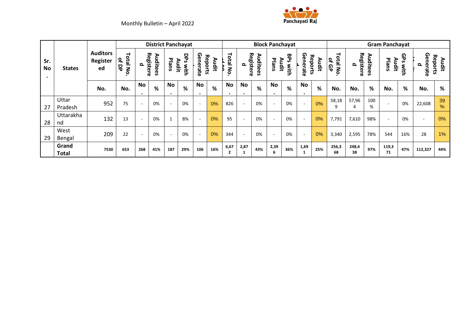



|                               |                  |                                   |                               |                          |          |                        | <b>District Panchayat</b>   |                 |                  |            |                          |          | <b>Block Panchayat</b>   |                             |                        |                  |                                                   |                           |          | <b>Gram Panchayat</b>    |           |                          |                     |
|-------------------------------|------------------|-----------------------------------|-------------------------------|--------------------------|----------|------------------------|-----------------------------|-----------------|------------------|------------|--------------------------|----------|--------------------------|-----------------------------|------------------------|------------------|---------------------------------------------------|---------------------------|----------|--------------------------|-----------|--------------------------|---------------------|
| Sr.<br><b>No</b><br>$\bullet$ | <b>States</b>    | <b>Auditors</b><br>Register<br>ed | Total<br>୍କ<br>몽<br><b>No</b> | Registere<br>௨           | Auditees | Plans                  | DPS<br><b>Audit</b><br>with | Generate        | Reports<br>Audit | Total<br>る | Registere<br>௨           | Auditees | Plans                    | <b>BPS</b><br>Audit<br>With | Generate               | Reports<br>Audit | ᅴ<br><b>Dtal</b><br>٩<br>$\frac{0}{\sigma}$<br>mo | Registere<br>$\mathbf{a}$ | Auditees | Audit<br>Plans           | GPs<br>ξ. | Generate<br>௨            | る<br>Audit<br>ports |
|                               |                  | No.                               | No.                           | No                       | %        | <b>No</b><br>$\bullet$ | %                           | No<br>$\bullet$ | %                | No<br>٠    | No<br>$\bullet$          | %        | No<br>$\bullet$          | %                           | <b>No</b><br>$\bullet$ | %                | No.                                               | No.                       | %        | No.                      | %         | No.                      | %                   |
| 27                            | Uttar<br>Pradesh | 952                               | 75                            |                          | 0%       |                        | 0%                          | $\sim$          | 0%               | 826        | $\overline{\phantom{a}}$ | 0%       | $\overline{\phantom{0}}$ | 0%                          | $\sim$                 | 0%               | 58,18<br>9                                        | 57,96                     | 100<br>% | $\overline{\phantom{a}}$ | 0%        | 22,608                   | 39<br>%             |
| 28                            | Uttarakha<br>nd  | 132                               | 13                            |                          | 0%       | $\mathbf{1}$           | 8%                          | $\sim$          | 0%               | 95         | $\sim$                   | 0%       | $\overline{\phantom{a}}$ | 0%                          | $\sim$                 | 0%               | 7,791                                             | 7,610                     | 98%      | $\overline{\phantom{a}}$ | 0%        | $\overline{\phantom{0}}$ | 0%                  |
| 29                            | West<br>Bengal   | 209                               | 22                            | $\overline{\phantom{a}}$ | 0%       | $\sim$                 | 0%                          | $\sim$          | 0%               | 344        | $\overline{\phantom{a}}$ | 0%       | $\overline{\phantom{a}}$ | 0%                          | $\sim$                 | 0%               | 3,340                                             | 2,595                     | 78%      | 544                      | 16%       | 28                       | $1\%$               |
|                               | Grand<br>Total   | 7530                              | 653                           | 268                      | 41%      | 187                    | 29%                         | 106             | 16%              | 6,67       | 2,87                     | 43%      | 2,39<br>6                | 36%                         | 1,69                   | 25%              | 256,3<br>68                                       | 248,4<br>38               | 97%      | 119,3<br>71              | 47%       | 112,327                  | 44%                 |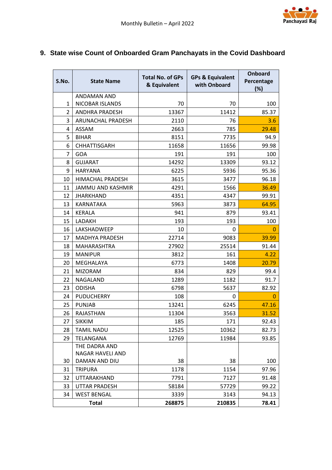## <span id="page-21-0"></span>**9. State wise Count of Onboarded Gram Panchayats in the Covid Dashboard**

| S.No.          | <b>State Name</b>       | <b>Total No. of GPs</b> | <b>GPs &amp; Equivalent</b><br>with Onboard | <b>Onboard</b><br>Percentage |
|----------------|-------------------------|-------------------------|---------------------------------------------|------------------------------|
|                |                         | & Equivalent            |                                             | (%)                          |
|                | <b>ANDAMAN AND</b>      |                         |                                             |                              |
| $\mathbf{1}$   | NICOBAR ISLANDS         | 70                      | 70                                          | 100                          |
| $\overline{2}$ | <b>ANDHRA PRADESH</b>   | 13367                   | 11412                                       | 85.37                        |
| 3              | ARUNACHAL PRADESH       | 2110                    | 76                                          | 3.6                          |
| 4              | ASSAM                   | 2663                    | 785                                         | 29.48                        |
| 5              | <b>BIHAR</b>            | 8151                    | 7735                                        | 94.9                         |
| 6              | <b>CHHATTISGARH</b>     | 11658                   | 11656                                       | 99.98                        |
| 7              | GOA                     | 191                     | 191                                         | 100                          |
| 8              | <b>GUJARAT</b>          | 14292                   | 13309                                       | 93.12                        |
| 9              | <b>HARYANA</b>          | 6225                    | 5936                                        | 95.36                        |
| 10             | <b>HIMACHAL PRADESH</b> | 3615                    | 3477                                        | 96.18                        |
| 11             | JAMMU AND KASHMIR       | 4291                    | 1566                                        | 36.49                        |
| 12             | <b>JHARKHAND</b>        | 4351                    | 4347                                        | 99.91                        |
| 13             | KARNATAKA               | 5963                    | 3873                                        | 64.95                        |
| 14             | <b>KERALA</b>           | 941                     | 879                                         | 93.41                        |
| 15             | LADAKH                  | 193                     | 193                                         | 100                          |
| 16             | LAKSHADWEEP             | 10                      | 0                                           | 0                            |
| 17             | <b>MADHYA PRADESH</b>   | 22714                   | 9083                                        | 39.99                        |
| 18             | <b>MAHARASHTRA</b>      | 27902                   | 25514                                       | 91.44                        |
| 19             | <b>MANIPUR</b>          | 3812                    | 161                                         | 4.22                         |
| 20             | MEGHALAYA               | 6773                    | 1408                                        | 20.79                        |
| 21             | <b>MIZORAM</b>          | 834                     | 829                                         | 99.4                         |
| 22             | NAGALAND                | 1289                    | 1182                                        | 91.7                         |
| 23             | <b>ODISHA</b>           | 6798                    | 5637                                        | 82.92                        |
| 24             | <b>PUDUCHERRY</b>       | 108                     | 0                                           | $\overline{0}$               |
| 25             | <b>PUNJAB</b>           | 13241                   | 6245                                        | 47.16                        |
| 26             | RAJASTHAN               | 11304                   | 3563                                        | 31.52                        |
| 27             | <b>SIKKIM</b>           | 185                     | 171                                         | 92.43                        |
| 28             | <b>TAMIL NADU</b>       | 12525                   | 10362                                       | 82.73                        |
| 29             | TELANGANA               | 12769                   | 11984                                       | 93.85                        |
|                | THE DADRA AND           |                         |                                             |                              |
|                | NAGAR HAVELI AND        |                         |                                             |                              |
| 30             | DAMAN AND DIU           | 38                      | 38                                          | 100                          |
| 31             | <b>TRIPURA</b>          | 1178                    | 1154                                        | 97.96                        |
| 32             | UTTARAKHAND             | 7791                    | 7127                                        | 91.48                        |
| 33             | <b>UTTAR PRADESH</b>    | 58184                   | 57729                                       | 99.22                        |
| 34             | <b>WEST BENGAL</b>      | 3339                    | 3143                                        | 94.13                        |
|                | <b>Total</b>            | 268875                  | 210835                                      | 78.41                        |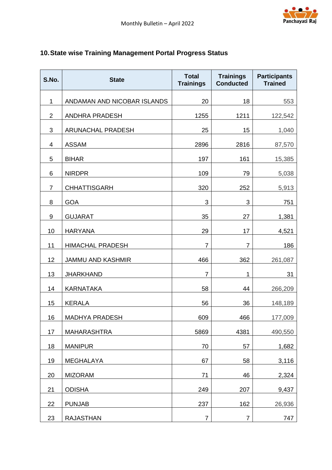## <span id="page-22-0"></span>**10.State wise Training Management Portal Progress Status**

| S.No.           | <b>State</b>                | <b>Total</b><br><b>Trainings</b> | <b>Trainings</b><br><b>Conducted</b> | <b>Participants</b><br><b>Trained</b> |
|-----------------|-----------------------------|----------------------------------|--------------------------------------|---------------------------------------|
| 1               | ANDAMAN AND NICOBAR ISLANDS | 20                               | 18                                   | 553                                   |
| $\overline{2}$  | <b>ANDHRA PRADESH</b>       | 1255                             | 1211                                 | 122,542                               |
| $\sqrt{3}$      | ARUNACHAL PRADESH           | 25                               | 15                                   | 1,040                                 |
| 4               | <b>ASSAM</b>                | 2896                             | 2816                                 | 87,570                                |
| 5               | <b>BIHAR</b>                | 197                              | 161                                  | 15,385                                |
| $6\phantom{1}6$ | <b>NIRDPR</b>               | 109                              | 79                                   | 5,038                                 |
| $\overline{7}$  | <b>CHHATTISGARH</b>         | 320                              | 252                                  | 5,913                                 |
| 8               | <b>GOA</b>                  | 3                                | $\sqrt{3}$                           | 751                                   |
| 9               | <b>GUJARAT</b>              | 35                               | 27                                   | 1,381                                 |
| 10              | <b>HARYANA</b>              | 29                               | 17                                   | 4,521                                 |
| 11              | <b>HIMACHAL PRADESH</b>     | $\overline{7}$                   | $\overline{7}$                       | 186                                   |
| 12              | <b>JAMMU AND KASHMIR</b>    | 466                              | 362                                  | 261,087                               |
| 13              | <b>JHARKHAND</b>            | $\overline{7}$                   | 1                                    | 31                                    |
| 14              | <b>KARNATAKA</b>            | 58                               | 44                                   | 266,209                               |
| 15              | <b>KERALA</b>               | 56                               | 36                                   | 148,189                               |
| 16              | <b>MADHYA PRADESH</b>       | 609                              | 466                                  | 177,009                               |
| 17              | <b>MAHARASHTRA</b>          | 5869                             | 4381                                 | 490,550                               |
| 18              | <b>MANIPUR</b>              | 70                               | 57                                   | 1,682                                 |
| 19              | <b>MEGHALAYA</b>            | 67                               | 58                                   | 3,116                                 |
| 20              | <b>MIZORAM</b>              | 71                               | 46                                   | 2,324                                 |
| 21              | <b>ODISHA</b>               | 249                              | 207                                  | 9,437                                 |
| 22              | <b>PUNJAB</b>               | 237                              | 162                                  | 26,936                                |
| 23              | <b>RAJASTHAN</b>            | $\overline{7}$                   | $\overline{7}$                       | 747                                   |